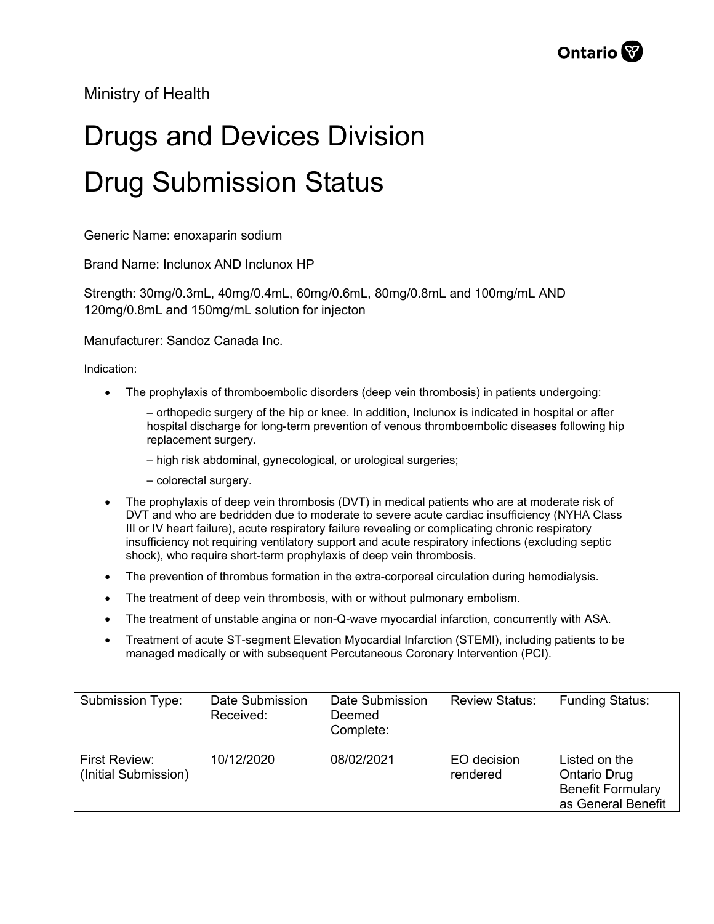Ministry of Health

## Drugs and Devices Division Drug Submission Status

Generic Name: enoxaparin sodium

Brand Name: Inclunox AND Inclunox HP

Strength: 30mg/0.3mL, 40mg/0.4mL, 60mg/0.6mL, 80mg/0.8mL and 100mg/mL AND 120mg/0.8mL and 150mg/mL solution for injecton

Manufacturer: Sandoz Canada Inc.

Indication:

- The prophylaxis of thromboembolic disorders (deep vein thrombosis) in patients undergoing:
	- ‒ orthopedic surgery of the hip or knee. In addition, Inclunox is indicated in hospital or after hospital discharge for long-term prevention of venous thromboembolic diseases following hip replacement surgery.
	- ‒ high risk abdominal, gynecological, or urological surgeries;
	- ‒ colorectal surgery.
- The prophylaxis of deep vein thrombosis (DVT) in medical patients who are at moderate risk of DVT and who are bedridden due to moderate to severe acute cardiac insufficiency (NYHA Class III or IV heart failure), acute respiratory failure revealing or complicating chronic respiratory insufficiency not requiring ventilatory support and acute respiratory infections (excluding septic shock), who require short-term prophylaxis of deep vein thrombosis.
- The prevention of thrombus formation in the extra-corporeal circulation during hemodialysis.
- The treatment of deep vein thrombosis, with or without pulmonary embolism.
- The treatment of unstable angina or non-Q-wave myocardial infarction, concurrently with ASA.
- Treatment of acute ST-segment Elevation Myocardial Infarction (STEMI), including patients to be managed medically or with subsequent Percutaneous Coronary Intervention (PCI).

| Submission Type:                      | Date Submission<br>Received: | Date Submission<br>Deemed<br>Complete: | <b>Review Status:</b>   | <b>Funding Status:</b>                                                                 |
|---------------------------------------|------------------------------|----------------------------------------|-------------------------|----------------------------------------------------------------------------------------|
| First Review:<br>(Initial Submission) | 10/12/2020                   | 08/02/2021                             | EO decision<br>rendered | Listed on the<br><b>Ontario Drug</b><br><b>Benefit Formulary</b><br>as General Benefit |